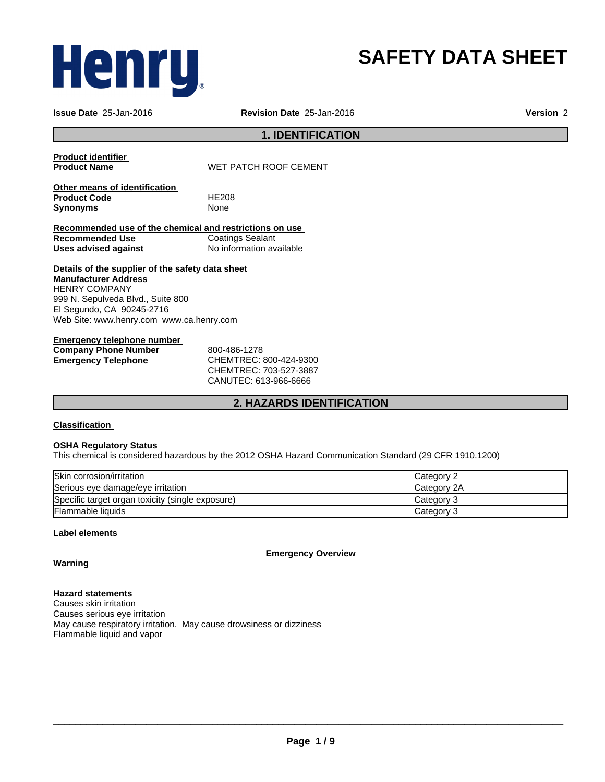# Henru,

## **SAFETY DATA SHEET**

**Issue Date** 25-Jan-2016 **Revision Date** 25-Jan-2016 **Version** 2

#### **1. IDENTIFICATION**

**Product identifier** 

**Product Name** WET PATCH ROOF CEMENT

**Other means of identification Product Code** HE208 **Synonyms** None

**Recommended use of the chemical and restrictions on use Coatings Sealant Uses advised against** No information available

**Details of the supplier of the safety data sheet Manufacturer Address** HENRY COMPANY 999 N. Sepulveda Blvd., Suite 800 El Segundo, CA 90245-2716 Web Site: www.henry.com www.ca.henry.com

#### **Emergency telephone number Company Phone Number** 800-486-1278 **Emergency Telephone** CHEMTREC: 800-424-9300

CHEMTREC: 703-527-3887 CANUTEC: 613-966-6666

#### **2. HAZARDS IDENTIFICATION**

#### **Classification**

#### **OSHA Regulatory Status**

This chemical is considered hazardous by the 2012 OSHA Hazard Communication Standard (29 CFR 1910.1200)

| Skin corrosion/irritation                        | Category 2  |
|--------------------------------------------------|-------------|
| Serious eye damage/eye irritation                | Category 2A |
| Specific target organ toxicity (single exposure) | Category 3  |
| Flammable liquids                                | Category 3  |

#### **Label elements**

**Emergency Overview**

**Warning**

**Hazard statements** Causes skin irritation Causes serious eye irritation May cause respiratory irritation. May cause drowsiness or dizziness Flammable liquid and vapor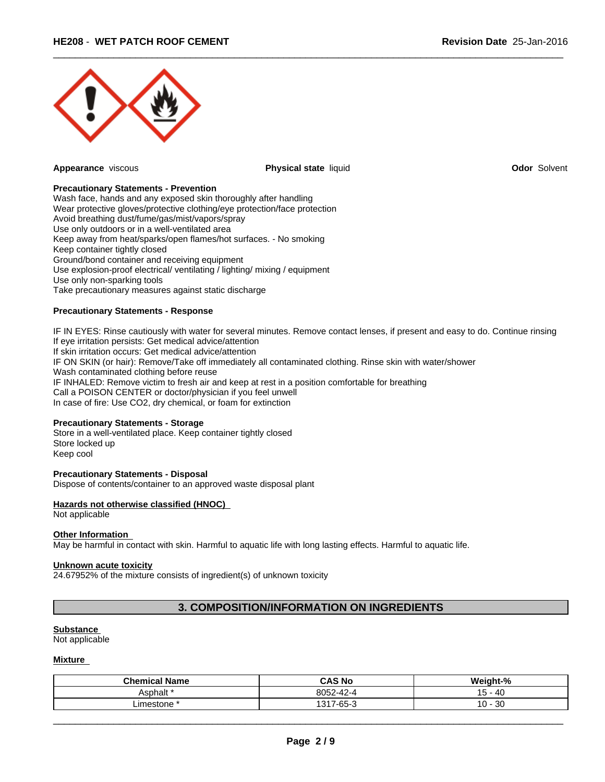

**Appearance** viscous **Physical state** liquid **Odor** Solvent

 $\overline{\phantom{a}}$  ,  $\overline{\phantom{a}}$  ,  $\overline{\phantom{a}}$  ,  $\overline{\phantom{a}}$  ,  $\overline{\phantom{a}}$  ,  $\overline{\phantom{a}}$  ,  $\overline{\phantom{a}}$  ,  $\overline{\phantom{a}}$  ,  $\overline{\phantom{a}}$  ,  $\overline{\phantom{a}}$  ,  $\overline{\phantom{a}}$  ,  $\overline{\phantom{a}}$  ,  $\overline{\phantom{a}}$  ,  $\overline{\phantom{a}}$  ,  $\overline{\phantom{a}}$  ,  $\overline{\phantom{a}}$ 

#### **Precautionary Statements - Prevention**

Wash face, hands and any exposed skin thoroughly after handling Wear protective gloves/protective clothing/eye protection/face protection Avoid breathing dust/fume/gas/mist/vapors/spray Use only outdoors or in a well-ventilated area Keep away from heat/sparks/open flames/hot surfaces. - No smoking Keep container tightly closed Ground/bond container and receiving equipment Use explosion-proof electrical/ ventilating / lighting/ mixing / equipment Use only non-sparking tools Take precautionary measures against static discharge

#### **Precautionary Statements - Response**

IF IN EYES: Rinse cautiously with water for several minutes. Remove contact lenses, if present and easy to do. Continue rinsing If eye irritation persists: Get medical advice/attention If skin irritation occurs: Get medical advice/attention IF ON SKIN (or hair): Remove/Take off immediately all contaminated clothing. Rinse skin with water/shower Wash contaminated clothing before reuse IF INHALED: Remove victim to fresh air and keep at rest in a position comfortable for breathing Call a POISON CENTER or doctor/physician if you feel unwell In case of fire: Use CO2, dry chemical, or foam for extinction

#### **Precautionary Statements - Storage**

Store in a well-ventilated place. Keep container tightly closed Store locked up Keep cool

#### **Precautionary Statements - Disposal**

Dispose of contents/container to an approved waste disposal plant

#### **Hazards not otherwise classified (HNOC)**

Not applicable

#### **Other Information**

May be harmful in contact with skin. Harmful to aquatic life with long lasting effects. Harmful to aquatic life.

#### **Unknown acute toxicity**

24.67952% of the mixture consists of ingredient(s) of unknown toxicity

#### **3. COMPOSITION/INFORMATION ON INGREDIENTS**

#### **Substance**

Not applicable

#### **Mixture**

| <b>Chemical Name</b> | <b>CAS No</b>                    | Weight-%           |
|----------------------|----------------------------------|--------------------|
| Asphalt '            | 00E2<br>$\sqrt{2}$<br>oup2-42-4  | - 40<br>. .<br>ּשׁ |
| ∟imestone            | $7 - 65 - 3$<br>1217.<br>$\cdot$ | 30<br>$10 -$       |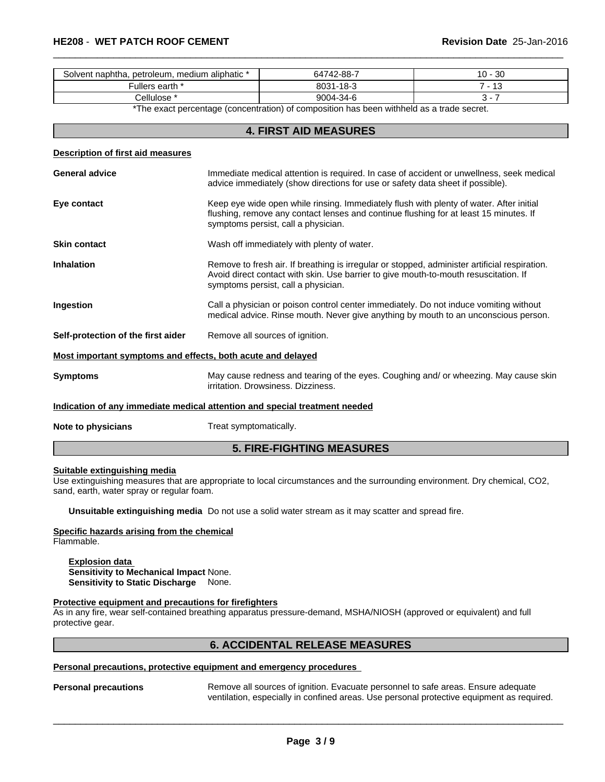| Solvent naphtha, petroleum, medium aliphatic * | 64742-88-7                   | $\Omega$<br>.u -<br>- JU |
|------------------------------------------------|------------------------------|--------------------------|
| -ullers earth *                                | <b>40 ລ</b><br>8031<br>-- 10 | $\overline{a}$<br>w      |
| * cellulose.                                   | 9004-34-6                    |                          |

 $\overline{\phantom{a}}$  ,  $\overline{\phantom{a}}$  ,  $\overline{\phantom{a}}$  ,  $\overline{\phantom{a}}$  ,  $\overline{\phantom{a}}$  ,  $\overline{\phantom{a}}$  ,  $\overline{\phantom{a}}$  ,  $\overline{\phantom{a}}$  ,  $\overline{\phantom{a}}$  ,  $\overline{\phantom{a}}$  ,  $\overline{\phantom{a}}$  ,  $\overline{\phantom{a}}$  ,  $\overline{\phantom{a}}$  ,  $\overline{\phantom{a}}$  ,  $\overline{\phantom{a}}$  ,  $\overline{\phantom{a}}$ 

\*The exact percentage (concentration) of composition has been withheld as a trade secret.

#### **4. FIRST AID MEASURES**

#### **Description of first aid measures**

| <b>General advice</b>                                       | Immediate medical attention is required. In case of accident or unwellness, seek medical<br>advice immediately (show directions for use or safety data sheet if possible).                                                   |  |  |  |
|-------------------------------------------------------------|------------------------------------------------------------------------------------------------------------------------------------------------------------------------------------------------------------------------------|--|--|--|
| Eye contact                                                 | Keep eye wide open while rinsing. Immediately flush with plenty of water. After initial<br>flushing, remove any contact lenses and continue flushing for at least 15 minutes. If<br>symptoms persist, call a physician.      |  |  |  |
| <b>Skin contact</b>                                         | Wash off immediately with plenty of water.                                                                                                                                                                                   |  |  |  |
| <b>Inhalation</b>                                           | Remove to fresh air. If breathing is irregular or stopped, administer artificial respiration.<br>Avoid direct contact with skin. Use barrier to give mouth-to-mouth resuscitation. If<br>symptoms persist, call a physician. |  |  |  |
| Ingestion                                                   | Call a physician or poison control center immediately. Do not induce vomiting without<br>medical advice. Rinse mouth. Never give anything by mouth to an unconscious person.                                                 |  |  |  |
| Self-protection of the first aider                          | Remove all sources of ignition.                                                                                                                                                                                              |  |  |  |
| Most important symptoms and effects, both acute and delayed |                                                                                                                                                                                                                              |  |  |  |
| <b>Symptoms</b>                                             | May cause redness and tearing of the eyes. Coughing and/ or wheezing. May cause skin<br>irritation. Drowsiness. Dizziness.                                                                                                   |  |  |  |

**Indication of any immediate medical attention and special treatment needed**

**Note to physicians** Treat symptomatically.

#### **5. FIRE-FIGHTING MEASURES**

#### **Suitable extinguishing media**

Use extinguishing measures that are appropriate to local circumstances and the surrounding environment. Dry chemical, CO2, sand, earth, water spray or regular foam.

**Unsuitable extinguishing media** Do not use a solid water stream as it may scatter and spread fire.

#### **Specific hazards arising from the chemical** Flammable.

**Explosion data Sensitivity to Mechanical Impact** None. **Sensitivity to Static Discharge** None.

#### **Protective equipment and precautions for firefighters**

As in any fire, wear self-contained breathing apparatus pressure-demand, MSHA/NIOSH (approved or equivalent) and full protective gear.

#### **6. ACCIDENTAL RELEASE MEASURES**

#### **Personal precautions, protective equipment and emergency procedures**

**Personal precautions** Remove all sources of ignition. Evacuate personnel to safe areas. Ensure adequate ventilation, especially in confined areas. Use personal protective equipment as required.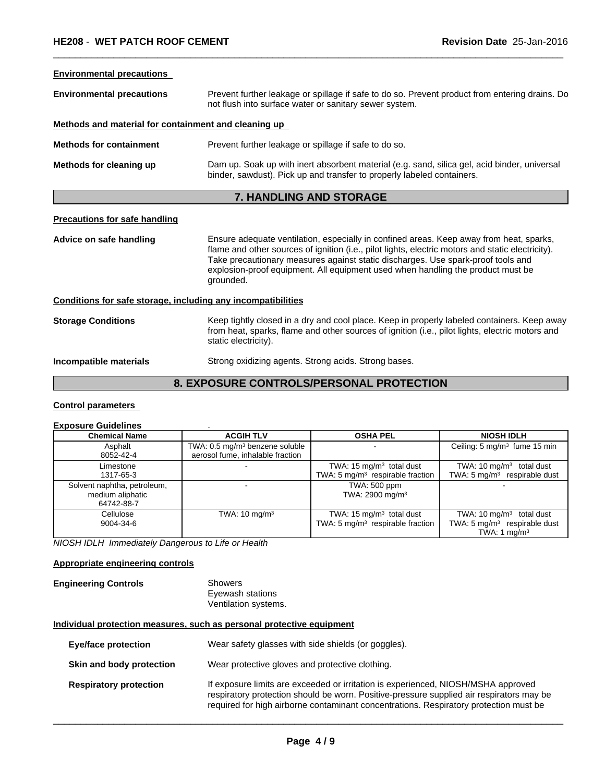#### **Environmental precautions**

| <b>Environmental precautions</b>                     | Prevent further leakage or spillage if safe to do so. Prevent product from entering drains. Do<br>not flush into surface water or sanitary sewer system.               |  |  |  |  |
|------------------------------------------------------|------------------------------------------------------------------------------------------------------------------------------------------------------------------------|--|--|--|--|
| Methods and material for containment and cleaning up |                                                                                                                                                                        |  |  |  |  |
| <b>Methods for containment</b>                       | Prevent further leakage or spillage if safe to do so.                                                                                                                  |  |  |  |  |
| Methods for cleaning up                              | Dam up. Soak up with inert absorbent material (e.g. sand, silica gel, acid binder, universal<br>binder, sawdust). Pick up and transfer to properly labeled containers. |  |  |  |  |
|                                                      | 7. HANDLING AND STORAGE                                                                                                                                                |  |  |  |  |

 $\overline{\phantom{a}}$  ,  $\overline{\phantom{a}}$  ,  $\overline{\phantom{a}}$  ,  $\overline{\phantom{a}}$  ,  $\overline{\phantom{a}}$  ,  $\overline{\phantom{a}}$  ,  $\overline{\phantom{a}}$  ,  $\overline{\phantom{a}}$  ,  $\overline{\phantom{a}}$  ,  $\overline{\phantom{a}}$  ,  $\overline{\phantom{a}}$  ,  $\overline{\phantom{a}}$  ,  $\overline{\phantom{a}}$  ,  $\overline{\phantom{a}}$  ,  $\overline{\phantom{a}}$  ,  $\overline{\phantom{a}}$ 

#### **Precautions for safe handling**

| Advice on safe handling                                      | Ensure adequate ventilation, especially in confined areas. Keep away from heat, sparks,<br>flame and other sources of ignition (i.e., pilot lights, electric motors and static electricity).<br>Take precautionary measures against static discharges. Use spark-proof tools and<br>explosion-proof equipment. All equipment used when handling the product must be<br>grounded. |
|--------------------------------------------------------------|----------------------------------------------------------------------------------------------------------------------------------------------------------------------------------------------------------------------------------------------------------------------------------------------------------------------------------------------------------------------------------|
| Conditions for safe storage, including any incompatibilities |                                                                                                                                                                                                                                                                                                                                                                                  |

#### **Storage Conditions** Keep tightly closed in a dry and cool place. Keep in properly labeled containers. Keep away from heat, sparks, flame and other sources of ignition (i.e., pilot lights, electric motors and static electricity).

#### **Incompatible materials** Strong oxidizing agents. Strong acids. Strong bases.

#### **8. EXPOSURE CONTROLS/PERSONAL PROTECTION**

#### **Control parameters**

#### **Exposure Guidelines** .

| <b>Chemical Name</b>                                          | <b>ACGIH TLV</b>                                                               | <b>OSHA PEL</b>                                                           | <b>NIOSH IDLH</b>                                                                                |
|---------------------------------------------------------------|--------------------------------------------------------------------------------|---------------------------------------------------------------------------|--------------------------------------------------------------------------------------------------|
| Asphalt<br>8052-42-4                                          | TWA: 0.5 mg/m <sup>3</sup> benzene soluble<br>aerosol fume, inhalable fraction |                                                                           | Ceiling: 5 mg/m <sup>3</sup> fume 15 min                                                         |
| Limestone<br>1317-65-3                                        |                                                                                | TWA: 15 $mg/m3$ total dust<br>TWA: $5 \text{ mg/m}^3$ respirable fraction | TWA: $10 \text{ mg/m}^3$ total dust<br>TWA: $5 \text{ mg/m}^3$ respirable dust                   |
| Solvent naphtha, petroleum,<br>medium aliphatic<br>64742-88-7 |                                                                                | TWA: 500 ppm<br>TWA: 2900 mg/m <sup>3</sup>                               |                                                                                                  |
| Cellulose<br>9004-34-6                                        | TWA: $10 \text{ mg/m}^3$                                                       | TWA: 15 $mg/m3$ total dust<br>TWA: 5 $mg/m3$ respirable fraction          | TWA: $10 \text{ mg/m}^3$ total dust<br>TWA: $5 \text{ mg/m}^3$ respirable dust<br>TWA: 1 $mq/m3$ |

*NIOSH IDLH Immediately Dangerous to Life or Health*

#### **Appropriate engineering controls**

#### **Engineering Controls** Showers Eyewash stations Ventilation systems.

#### **Individual protection measures, such as personal protective equipment**

| <b>Eye/face protection</b>    | Wear safety glasses with side shields (or goggles).                                                                                                                                                                                                                    |
|-------------------------------|------------------------------------------------------------------------------------------------------------------------------------------------------------------------------------------------------------------------------------------------------------------------|
| Skin and body protection      | Wear protective gloves and protective clothing.                                                                                                                                                                                                                        |
| <b>Respiratory protection</b> | If exposure limits are exceeded or irritation is experienced, NIOSH/MSHA approved<br>respiratory protection should be worn. Positive-pressure supplied air respirators may be<br>required for high airborne contaminant concentrations. Respiratory protection must be |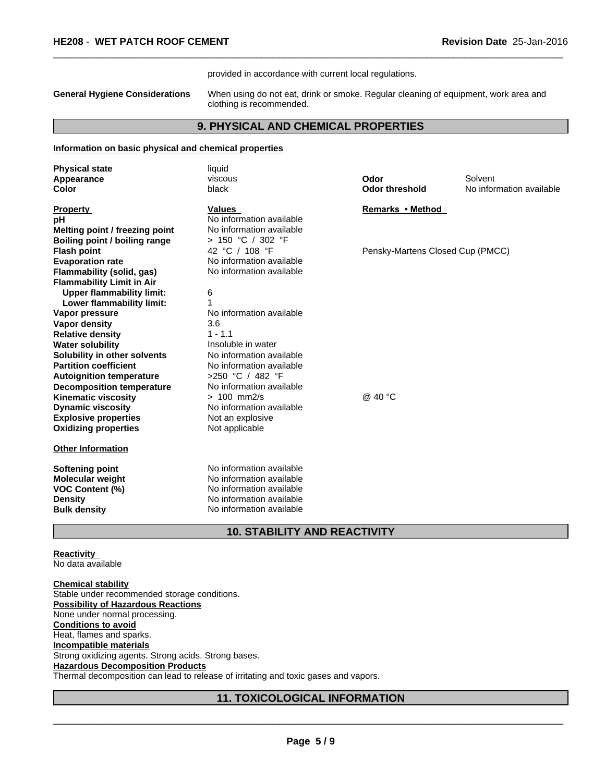provided in accordance with current local regulations.

**General Hygiene Considerations** When using do not eat, drink or smoke. Regular cleaning of equipment, work area and clothing is recommended.

 $\overline{\phantom{a}}$  ,  $\overline{\phantom{a}}$  ,  $\overline{\phantom{a}}$  ,  $\overline{\phantom{a}}$  ,  $\overline{\phantom{a}}$  ,  $\overline{\phantom{a}}$  ,  $\overline{\phantom{a}}$  ,  $\overline{\phantom{a}}$  ,  $\overline{\phantom{a}}$  ,  $\overline{\phantom{a}}$  ,  $\overline{\phantom{a}}$  ,  $\overline{\phantom{a}}$  ,  $\overline{\phantom{a}}$  ,  $\overline{\phantom{a}}$  ,  $\overline{\phantom{a}}$  ,  $\overline{\phantom{a}}$ 

#### **9. PHYSICAL AND CHEMICAL PROPERTIES**

#### **Information on basic physical and chemical properties**

| <b>Physical state</b>            | liquid                      |                                  |                          |
|----------------------------------|-----------------------------|----------------------------------|--------------------------|
| Appearance                       | viscous                     | Odor                             | Solvent                  |
| Color                            | black                       | <b>Odor threshold</b>            | No information available |
| <b>Property</b>                  | <b>Values</b>               | Remarks • Method                 |                          |
| рH                               | No information available    |                                  |                          |
| Melting point / freezing point   | No information available    |                                  |                          |
| Boiling point / boiling range    | > 150 °C / 302 °F           |                                  |                          |
| <b>Flash point</b>               | 42 °C / 108 °F              | Pensky-Martens Closed Cup (PMCC) |                          |
| <b>Evaporation rate</b>          | No information available    |                                  |                          |
| Flammability (solid, gas)        | No information available    |                                  |                          |
| <b>Flammability Limit in Air</b> |                             |                                  |                          |
| <b>Upper flammability limit:</b> | 6                           |                                  |                          |
| Lower flammability limit:        |                             |                                  |                          |
| Vapor pressure                   | No information available    |                                  |                          |
| Vapor density                    | 3.6                         |                                  |                          |
| <b>Relative density</b>          | $1 - 1.1$                   |                                  |                          |
| <b>Water solubility</b>          | Insoluble in water          |                                  |                          |
| Solubility in other solvents     | No information available    |                                  |                          |
| <b>Partition coefficient</b>     | No information available    |                                  |                          |
| <b>Autoignition temperature</b>  | >250 °C / 482 °F            |                                  |                          |
| <b>Decomposition temperature</b> | No information available    |                                  |                          |
| <b>Kinematic viscosity</b>       | $> 100$ mm2/s               | @ 40 °C                          |                          |
| <b>Dynamic viscosity</b>         | No information available    |                                  |                          |
| <b>Explosive properties</b>      | Not an explosive            |                                  |                          |
| <b>Oxidizing properties</b>      | Not applicable              |                                  |                          |
| <b>Other Information</b>         |                             |                                  |                          |
| Softening point                  | No information available    |                                  |                          |
| <b>Molecular weight</b>          | No information available    |                                  |                          |
| <b>VOC Content (%)</b>           | No information available    |                                  |                          |
| <b>Density</b>                   | No information available    |                                  |                          |
| <b>Bulk density</b>              | No information available    |                                  |                          |
|                                  | 40 CTADU ITV AND DEACTIVITV |                                  |                          |

#### **10. STABILITY AND REACTIVITY**

**Reactivity**  No data available

**Chemical stability** Stable under recommended storage conditions. **Possibility of Hazardous Reactions** None under normal processing. **Conditions to avoid** Heat, flames and sparks. **Incompatible materials** Strong oxidizing agents. Strong acids. Strong bases. **Hazardous Decomposition Products** Thermal decomposition can lead to release of irritating and toxic gases and vapors.

#### **11. TOXICOLOGICAL INFORMATION**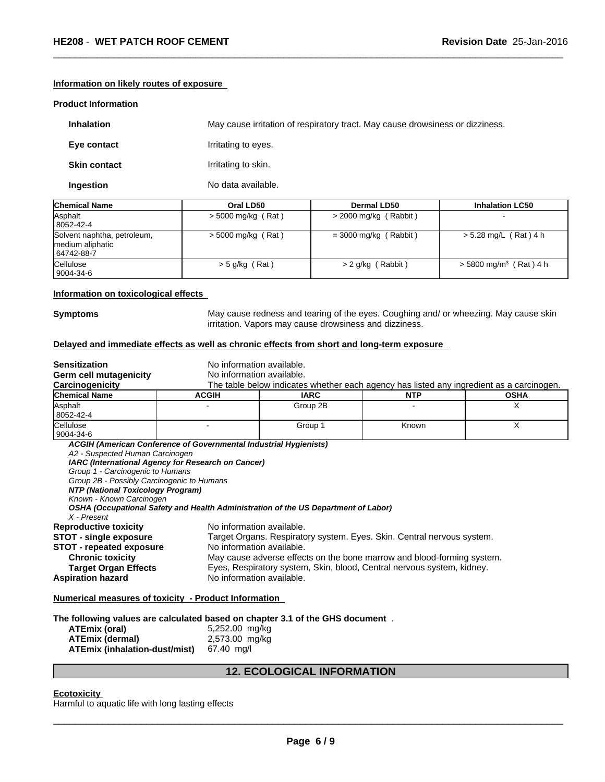#### **Information on likely routes of exposure**

#### **Product Information**

| <b>Inhalation</b>   | May cause irritation of respiratory tract. May cause drowsiness or dizziness. |
|---------------------|-------------------------------------------------------------------------------|
| Eye contact         | Irritating to eyes.                                                           |
| <b>Skin contact</b> | Irritating to skin.                                                           |
| Ingestion           | No data available.                                                            |

| <b>Chemical Name</b>                                          | Oral LD50            | Dermal LD50             | <b>Inhalation LC50</b>               |
|---------------------------------------------------------------|----------------------|-------------------------|--------------------------------------|
| Asphalt<br>  8052-42-4                                        | $>$ 5000 mg/kg (Rat) | $>$ 2000 mg/kg (Rabbit) |                                      |
| Solvent naphtha, petroleum,<br>medium aliphatic<br>64742-88-7 | $>$ 5000 mg/kg (Rat) | $=$ 3000 mg/kg (Rabbit) | > 5.28 mg/L (Rat) 4 h                |
| Cellulose<br>  9004-34-6                                      | $>$ 5 g/kg (Rat)     | $> 2$ g/kg (Rabbit)     | $>$ 5800 mg/m <sup>3</sup> (Rat) 4 h |

#### **Information on toxicological effects**

**Symptoms** May cause redness and tearing of the eyes. Coughing and/ or wheezing. May cause skin irritation. Vapors may cause drowsiness and dizziness.

 $\overline{\phantom{a}}$  ,  $\overline{\phantom{a}}$  ,  $\overline{\phantom{a}}$  ,  $\overline{\phantom{a}}$  ,  $\overline{\phantom{a}}$  ,  $\overline{\phantom{a}}$  ,  $\overline{\phantom{a}}$  ,  $\overline{\phantom{a}}$  ,  $\overline{\phantom{a}}$  ,  $\overline{\phantom{a}}$  ,  $\overline{\phantom{a}}$  ,  $\overline{\phantom{a}}$  ,  $\overline{\phantom{a}}$  ,  $\overline{\phantom{a}}$  ,  $\overline{\phantom{a}}$  ,  $\overline{\phantom{a}}$ 

#### **Delayed and immediate effects as well as chronic effects from short and long-term exposure**

| <b>Sensitization</b>                                                          | No information available.                                         |                                                                                    |                                                                                          |             |  |
|-------------------------------------------------------------------------------|-------------------------------------------------------------------|------------------------------------------------------------------------------------|------------------------------------------------------------------------------------------|-------------|--|
| <b>Germ cell mutagenicity</b>                                                 | No information available.                                         |                                                                                    |                                                                                          |             |  |
| Carcinogenicity                                                               |                                                                   |                                                                                    | The table below indicates whether each agency has listed any ingredient as a carcinogen. |             |  |
| Chemical Name                                                                 | <b>ACGIH</b>                                                      | <b>IARC</b>                                                                        | <b>NTP</b>                                                                               | <b>OSHA</b> |  |
| Asphalt                                                                       |                                                                   | Group 2B                                                                           |                                                                                          | X           |  |
| 8052-42-4                                                                     |                                                                   |                                                                                    |                                                                                          |             |  |
| Cellulose<br>9004-34-6                                                        | $\blacksquare$                                                    | Group 1                                                                            | Known                                                                                    | X           |  |
| A2 - Suspected Human Carcinogen                                               | ACGIH (American Conference of Governmental Industrial Hygienists) |                                                                                    |                                                                                          |             |  |
| Group 1 - Carcinogenic to Humans                                              | IARC (International Agency for Research on Cancer)                |                                                                                    |                                                                                          |             |  |
| Group 2B - Possibly Carcinogenic to Humans                                    |                                                                   |                                                                                    |                                                                                          |             |  |
| NTP (National Toxicology Program)                                             |                                                                   |                                                                                    |                                                                                          |             |  |
| Known - Known Carcinogen                                                      |                                                                   |                                                                                    |                                                                                          |             |  |
| X - Present                                                                   |                                                                   | OSHA (Occupational Safety and Health Administration of the US Department of Labor) |                                                                                          |             |  |
| <b>Reproductive toxicity</b>                                                  | No information available.                                         |                                                                                    |                                                                                          |             |  |
| <b>STOT - single exposure</b>                                                 |                                                                   |                                                                                    | Target Organs. Respiratory system. Eyes. Skin. Central nervous system.                   |             |  |
| <b>STOT - repeated exposure</b>                                               | No information available.                                         |                                                                                    |                                                                                          |             |  |
| <b>Chronic toxicity</b>                                                       |                                                                   |                                                                                    | May cause adverse effects on the bone marrow and blood-forming system.                   |             |  |
| <b>Target Organ Effects</b>                                                   |                                                                   |                                                                                    | Eyes, Respiratory system, Skin, blood, Central nervous system, kidney.                   |             |  |
| <b>Aspiration hazard</b>                                                      |                                                                   | No information available.                                                          |                                                                                          |             |  |
| <b>Numerical measures of toxicity - Product Information</b>                   |                                                                   |                                                                                    |                                                                                          |             |  |
|                                                                               |                                                                   |                                                                                    |                                                                                          |             |  |
| The following values are calculated based on chapter 3.1 of the GHS document. |                                                                   |                                                                                    |                                                                                          |             |  |
| <b>ATEmix (oral)</b>                                                          | 5,252.00 mg/kg                                                    |                                                                                    |                                                                                          |             |  |
| <b>ATEmix (dermal)</b>                                                        | 2,573.00 mg/kg                                                    |                                                                                    |                                                                                          |             |  |
| ATEmix (inhalation-dust/mist)                                                 | 67.40 mg/l                                                        |                                                                                    |                                                                                          |             |  |
|                                                                               |                                                                   |                                                                                    |                                                                                          |             |  |

#### **12. ECOLOGICAL INFORMATION**

#### **Ecotoxicity**

Harmful to aquatic life with long lasting effects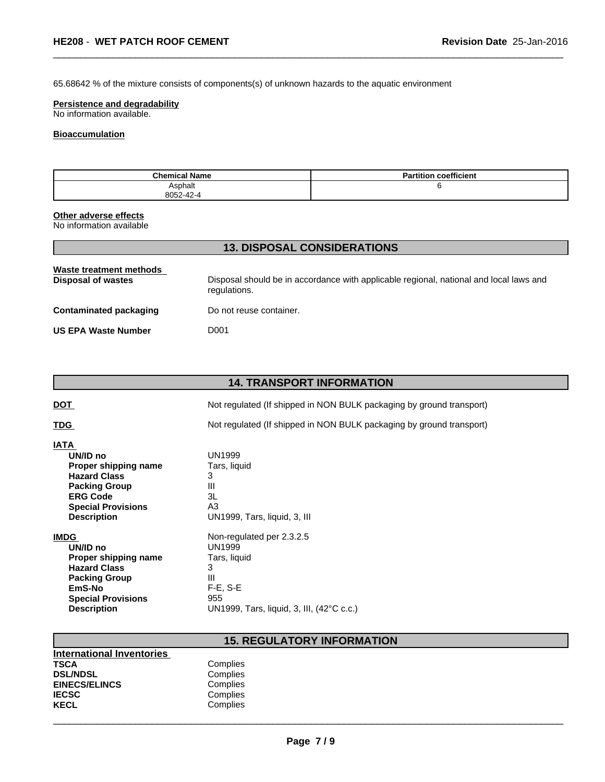65.68642 % of the mixture consists of components(s) of unknown hazards to the aquatic environment

#### **Persistence and degradability**

No information available.

#### **Bioaccumulation**

| <b>Chemical Name</b> | <b>Partition coefficient</b> |
|----------------------|------------------------------|
| Asphalt              |                              |
| 8052-42-4            |                              |

 $\overline{\phantom{a}}$  ,  $\overline{\phantom{a}}$  ,  $\overline{\phantom{a}}$  ,  $\overline{\phantom{a}}$  ,  $\overline{\phantom{a}}$  ,  $\overline{\phantom{a}}$  ,  $\overline{\phantom{a}}$  ,  $\overline{\phantom{a}}$  ,  $\overline{\phantom{a}}$  ,  $\overline{\phantom{a}}$  ,  $\overline{\phantom{a}}$  ,  $\overline{\phantom{a}}$  ,  $\overline{\phantom{a}}$  ,  $\overline{\phantom{a}}$  ,  $\overline{\phantom{a}}$  ,  $\overline{\phantom{a}}$ 

#### **Other adverse effects**

No information available

| Waste treatment methods<br>Disposal of wastes | Disposal should be in accordance with applicable regional, national and local laws and<br>regulations. |
|-----------------------------------------------|--------------------------------------------------------------------------------------------------------|
| <b>Contaminated packaging</b>                 | Do not reuse container.                                                                                |
| <b>US EPA Waste Number</b>                    | D001                                                                                                   |

**13. DISPOSAL CONSIDERATIONS**

| <b>14. TRANSPORT INFORMATION</b>                                                                                                                              |                                                                                          |  |  |
|---------------------------------------------------------------------------------------------------------------------------------------------------------------|------------------------------------------------------------------------------------------|--|--|
| <u>DOT</u>                                                                                                                                                    | Not regulated (If shipped in NON BULK packaging by ground transport)                     |  |  |
| <b>TDG</b>                                                                                                                                                    | Not regulated (If shipped in NON BULK packaging by ground transport)                     |  |  |
| IATA<br>UN/ID no<br>Proper shipping name<br><b>Hazard Class</b><br><b>Packing Group</b><br><b>ERG Code</b><br><b>Special Provisions</b><br><b>Description</b> | UN1999<br>Tars, liquid<br>3<br>Ш<br>3L<br>A <sub>3</sub><br>UN1999, Tars, liquid, 3, III |  |  |
| <b>IMDG</b>                                                                                                                                                   | Non-regulated per 2.3.2.5                                                                |  |  |
| UN/ID no                                                                                                                                                      | <b>UN1999</b>                                                                            |  |  |
| Proper shipping name                                                                                                                                          | Tars, liquid                                                                             |  |  |
| <b>Hazard Class</b>                                                                                                                                           | 3                                                                                        |  |  |
| <b>Packing Group</b>                                                                                                                                          | III                                                                                      |  |  |
| EmS-No                                                                                                                                                        | $F-E$ , S-E                                                                              |  |  |
| <b>Special Provisions</b>                                                                                                                                     | 955                                                                                      |  |  |
| <b>Description</b>                                                                                                                                            | UN1999, Tars, liquid, 3, III, (42°C c.c.)                                                |  |  |

### **15. REGULATORY INFORMATION**

| <b>International Inventories</b> |          |  |
|----------------------------------|----------|--|
| TSCA                             | Complies |  |
| <b>DSL/NDSL</b>                  | Complies |  |
| <b>EINECS/ELINCS</b>             | Complies |  |
| <b>IECSC</b>                     | Complies |  |
| KECL                             | Complies |  |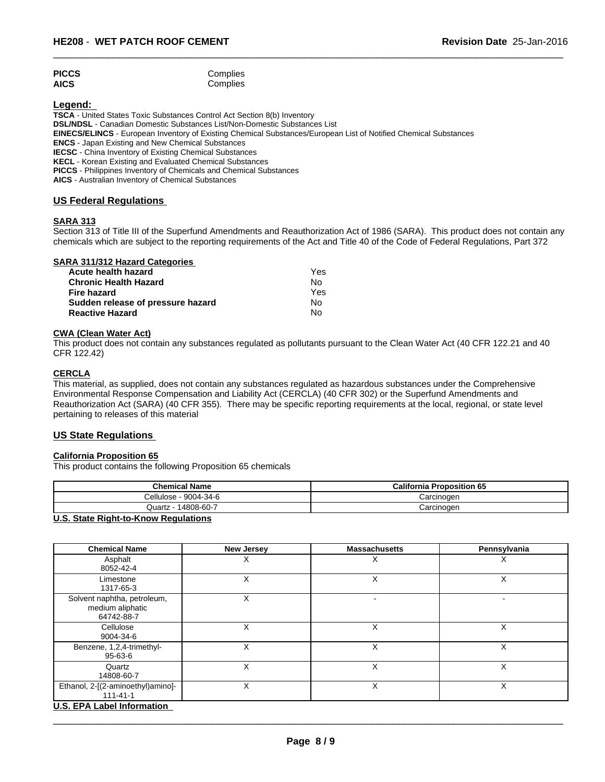#### PICCS Complies **AICS** Complies

#### **Legend:**

**TSCA** - United States Toxic Substances Control Act Section 8(b) Inventory **DSL/NDSL** - Canadian Domestic Substances List/Non-Domestic Substances List **EINECS/ELINCS** - European Inventory of Existing Chemical Substances/European List of Notified Chemical Substances **ENCS** - Japan Existing and New Chemical Substances **IECSC** - China Inventory of Existing Chemical Substances **KECL** - Korean Existing and Evaluated Chemical Substances

**PICCS** - Philippines Inventory of Chemicals and Chemical Substances

**AICS** - Australian Inventory of Chemical Substances

#### **US Federal Regulations**

#### **SARA 313**

Section 313 of Title III of the Superfund Amendments and Reauthorization Act of 1986 (SARA). This product does not contain any chemicals which are subject to the reporting requirements of the Act and Title 40 of the Code of Federal Regulations, Part 372

 $\overline{\phantom{a}}$  ,  $\overline{\phantom{a}}$  ,  $\overline{\phantom{a}}$  ,  $\overline{\phantom{a}}$  ,  $\overline{\phantom{a}}$  ,  $\overline{\phantom{a}}$  ,  $\overline{\phantom{a}}$  ,  $\overline{\phantom{a}}$  ,  $\overline{\phantom{a}}$  ,  $\overline{\phantom{a}}$  ,  $\overline{\phantom{a}}$  ,  $\overline{\phantom{a}}$  ,  $\overline{\phantom{a}}$  ,  $\overline{\phantom{a}}$  ,  $\overline{\phantom{a}}$  ,  $\overline{\phantom{a}}$ 

| <b>SARA 311/312 Hazard Categories</b> |  |
|---------------------------------------|--|
|---------------------------------------|--|

| Acute health hazard               | Yes |  |
|-----------------------------------|-----|--|
| <b>Chronic Health Hazard</b>      | No  |  |
| Fire hazard                       | Yes |  |
| Sudden release of pressure hazard | N٥  |  |
| <b>Reactive Hazard</b>            | N٥  |  |

#### **CWA (Clean Water Act)**

This product does not contain any substances regulated as pollutants pursuant to the Clean Water Act (40 CFR 122.21 and 40 CFR 122.42)

#### **CERCLA**

This material, as supplied, does not contain any substances regulated as hazardous substances under the Comprehensive Environmental Response Compensation and Liability Act (CERCLA) (40 CFR 302) or the Superfund Amendments and Reauthorization Act (SARA) (40 CFR 355). There may be specific reporting requirements at the local, regional, or state level pertaining to releases of this material

#### **US State Regulations**

#### **California Proposition 65**

This product contains the following Proposition 65 chemicals

| <b>Chemical Name</b>          | <b>California Proposition 65</b> |
|-------------------------------|----------------------------------|
| Cellulose - 9004-34-6         | Carcinoɑen                       |
| Quartz - 14808-60-7           | Carcinogen                       |
| $\mathbf{H} \cdot \mathbf{A}$ |                                  |

#### **U.S. State Right-to-Know Regulations**

| <b>Chemical Name</b>                                          | <b>New Jersey</b> | <b>Massachusetts</b> | Pennsylvania |
|---------------------------------------------------------------|-------------------|----------------------|--------------|
| Asphalt<br>8052-42-4                                          | х                 | х                    | Х            |
| Limestone<br>1317-65-3                                        |                   |                      |              |
| Solvent naphtha, petroleum,<br>medium aliphatic<br>64742-88-7 |                   |                      |              |
| Cellulose<br>9004-34-6                                        | X                 | X                    | X            |
| Benzene, 1,2,4-trimethyl-<br>$95 - 63 - 6$                    | X                 | X                    | X            |
| Quartz<br>14808-60-7                                          | Χ                 | X                    | X            |
| Ethanol, 2-[(2-aminoethyl)amino]-<br>$111 - 41 - 1$           | Χ                 | ⋏                    | Χ            |
| U.S. EPA Label Information                                    |                   |                      |              |